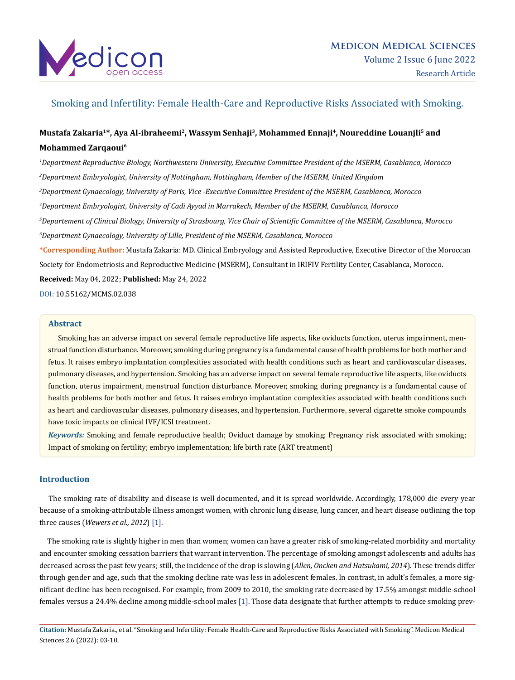

# Smoking and Infertility: Female Health-Care and Reproductive Risks Associated with Smoking.

# **Mustafa Zakaria1\*, Aya Al-ibraheemi2, Wassym Senhaji3, Mohammed Ennaji4, Noureddine Louanjli5 and Mohammed Zarqaoui6**

 *Department Reproductive Biology, Northwestern University, Executive Committee President of the MSERM, Casablanca, Morocco Department Embryologist, University of Nottingham, Nottingham, Member of the MSERM, United Kingdom Department Gynaecology, University of Paris, Vice -Executive Committee President of the MSERM, Casablanca, Morocco Department Embryologist, University of Cadi Ayyad in Marrakech, Member of the MSERM, Casablanca, Morocco Departement of Clinical Biology, University of Strasbourg, Vice Chair of Scientific Committee of the MSERM, Casablanca, Morocco Department Gynaecology, University of Lille, President of the MSERM, Casablanca, Morocco* **\*Corresponding Author:** Mustafa Zakaria: MD. Clinical Embryology and Assisted Reproductive, Executive Director of the Moroccan Society for Endometriosis and Reproductive Medicine (MSERM), Consultant in IRIFIV Fertility Center, Casablanca, Morocco.

**Received:** May 04, 2022; **Published:** May 24, 2022

DOI: [10.55162/MCMS.02.038](https://doi.org/10.55162/MCMS.02.038)

#### **Abstract**

 Smoking has an adverse impact on several female reproductive life aspects, like oviducts function, uterus impairment, menstrual function disturbance. Moreover, smoking during pregnancy is a fundamental cause of health problems for both mother and fetus. It raises embryo implantation complexities associated with health conditions such as heart and cardiovascular diseases, pulmonary diseases, and hypertension. Smoking has an adverse impact on several female reproductive life aspects, like oviducts function, uterus impairment, menstrual function disturbance. Moreover, smoking during pregnancy is a fundamental cause of health problems for both mother and fetus. It raises embryo implantation complexities associated with health conditions such as heart and cardiovascular diseases, pulmonary diseases, and hypertension. Furthermore, several cigarette smoke compounds have toxic impacts on clinical IVF/ICSI treatment.

*Keywords:* Smoking and female reproductive health; Oviduct damage by smoking; Pregnancy risk associated with smoking; Impact of smoking on fertility; embryo implementation; life birth rate (ART treatment)

# **Introduction**

 The smoking rate of disability and disease is well documented, and it is spread worldwide. Accordingly, 178,000 die every year because of a smoking-attributable illness amongst women, with chronic lung disease, lung cancer, and heart disease outlining the top three causes (*Wewers et al., 2012*) [1].

 The smoking rate is slightly higher in men than women; women can have a greater risk of smoking-related morbidity and mortality and encounter smoking cessation barriers that warrant intervention. The percentage of smoking amongst adolescents and adults has decreased across the past few years; still, the incidence of the drop is slowing (*Allen, Oncken and Hatsukami, 2014*). These trends differ through gender and age, such that the smoking decline rate was less in adolescent females. In contrast, in adult's females, a more significant decline has been recognised. For example, from 2009 to 2010, the smoking rate decreased by 17.5% amongst middle-school females versus a 24.4% decline among middle-school males [1]. Those data designate that further attempts to reduce smoking prev-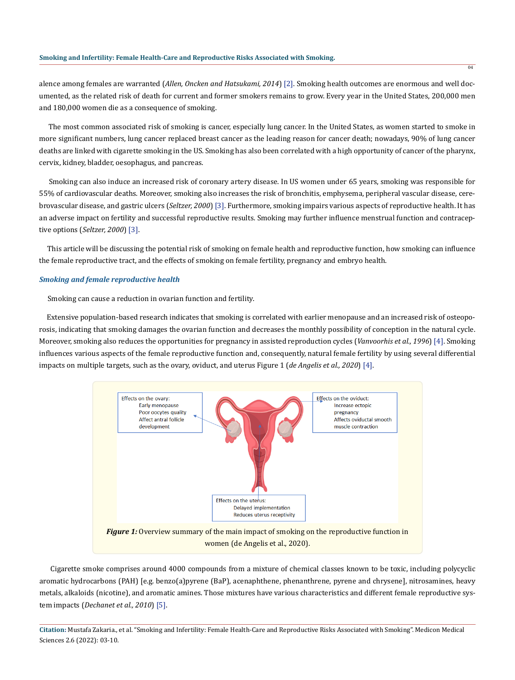alence among females are warranted (*Allen, Oncken and Hatsukami, 2014*) [2]. Smoking health outcomes are enormous and well documented, as the related risk of death for current and former smokers remains to grow. Every year in the United States, 200,000 men and 180,000 women die as a consequence of smoking.

 The most common associated risk of smoking is cancer, especially lung cancer. In the United States, as women started to smoke in more significant numbers, lung cancer replaced breast cancer as the leading reason for cancer death; nowadays, 90% of lung cancer deaths are linked with cigarette smoking in the US. Smoking has also been correlated with a high opportunity of cancer of the pharynx, cervix, kidney, bladder, oesophagus, and pancreas.

 Smoking can also induce an increased risk of coronary artery disease. In US women under 65 years, smoking was responsible for 55% of cardiovascular deaths. Moreover, smoking also increases the risk of bronchitis, emphysema, peripheral vascular disease, cerebrovascular disease, and gastric ulcers (*Seltzer, 2000*) [3]. Furthermore, smoking impairs various aspects of reproductive health. It has an adverse impact on fertility and successful reproductive results. Smoking may further influence menstrual function and contraceptive options (*Seltzer, 2000*) [3].

 This article will be discussing the potential risk of smoking on female health and reproductive function, how smoking can influence the female reproductive tract, and the effects of smoking on female fertility, pregnancy and embryo health.

### *Smoking and female reproductive health*

Smoking can cause a reduction in ovarian function and fertility.

 Extensive population-based research indicates that smoking is correlated with earlier menopause and an increased risk of osteoporosis, indicating that smoking damages the ovarian function and decreases the monthly possibility of conception in the natural cycle. Moreover, smoking also reduces the opportunities for pregnancy in assisted reproduction cycles (*Vanvoorhis et al., 1996*) [4]. Smoking influences various aspects of the female reproductive function and, consequently, natural female fertility by using several differential impacts on multiple targets, such as the ovary, oviduct, and uterus Figure 1 (*de Angelis et al., 2020*) [4].



 Cigarette smoke comprises around 4000 compounds from a mixture of chemical classes known to be toxic, including polycyclic aromatic hydrocarbons (PAH) [e.g. benzo(a)pyrene (BaP), acenaphthene, phenanthrene, pyrene and chrysene], nitrosamines, heavy metals, alkaloids (nicotine), and aromatic amines. Those mixtures have various characteristics and different female reproductive system impacts (*Dechanet et al., 2010*) [5].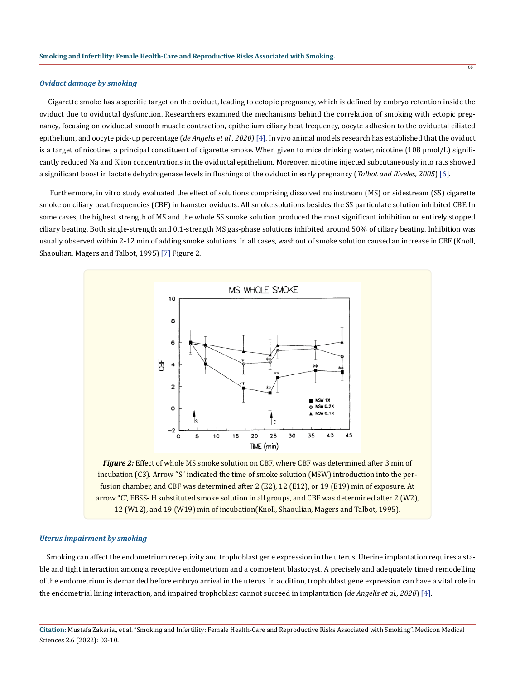## *Oviduct damage by smoking*

 Cigarette smoke has a specific target on the oviduct, leading to ectopic pregnancy, which is defined by embryo retention inside the oviduct due to oviductal dysfunction. Researchers examined the mechanisms behind the correlation of smoking with ectopic pregnancy, focusing on oviductal smooth muscle contraction, epithelium ciliary beat frequency, oocyte adhesion to the oviductal ciliated epithelium, and oocyte pick-up percentage (*de Angelis et al., 2020)* [4]. In vivo animal models research has established that the oviduct is a target of nicotine, a principal constituent of cigarette smoke. When given to mice drinking water, nicotine (108 μmol/L) significantly reduced Na and K ion concentrations in the oviductal epithelium. Moreover, nicotine injected subcutaneously into rats showed a significant boost in lactate dehydrogenase levels in flushings of the oviduct in early pregnancy (*Talbot and Riveles, 2005*) [6].

 Furthermore, in vitro study evaluated the effect of solutions comprising dissolved mainstream (MS) or sidestream (SS) cigarette smoke on ciliary beat frequencies (CBF) in hamster oviducts. All smoke solutions besides the SS particulate solution inhibited CBF. In some cases, the highest strength of MS and the whole SS smoke solution produced the most significant inhibition or entirely stopped ciliary beating. Both single-strength and 0.1-strength MS gas-phase solutions inhibited around 50% of ciliary beating. Inhibition was usually observed within 2-12 min of adding smoke solutions. In all cases, washout of smoke solution caused an increase in CBF (Knoll, Shaoulian, Magers and Talbot, 1995) [7] Figure 2.



**Figure 2:** Effect of whole MS smoke solution on CBF, where CBF was determined after 3 min of incubation (C3). Arrow "S" indicated the time of smoke solution (MSW) introduction into the perfusion chamber, and CBF was determined after 2 (E2), 12 (E12), or 19 (E19) min of exposure. At arrow "C", EBSS- H substituted smoke solution in all groups, and CBF was determined after 2 (W2), 12 (W12), and 19 (W19) min of incubation(Knoll, Shaoulian, Magers and Talbot, 1995).

#### *Uterus impairment by smoking*

 Smoking can affect the endometrium receptivity and trophoblast gene expression in the uterus. Uterine implantation requires a stable and tight interaction among a receptive endometrium and a competent blastocyst. A precisely and adequately timed remodelling of the endometrium is demanded before embryo arrival in the uterus. In addition, trophoblast gene expression can have a vital role in the endometrial lining interaction, and impaired trophoblast cannot succeed in implantation (*de Angelis et al., 2020*) [4].

**Citation:** Mustafa Zakaria., et al. "Smoking and Infertility: Female Health-Care and Reproductive Risks Associated with Smoking". Medicon Medical Sciences 2.6 (2022): 03-10.

05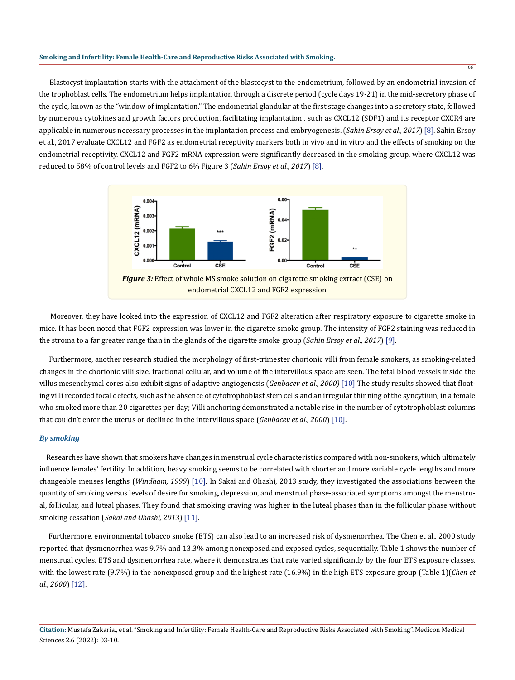Blastocyst implantation starts with the attachment of the blastocyst to the endometrium, followed by an endometrial invasion of the trophoblast cells. The endometrium helps implantation through a discrete period (cycle days 19-21) in the mid-secretory phase of the cycle, known as the "window of implantation." The endometrial glandular at the first stage changes into a secretory state, followed by numerous cytokines and growth factors production, facilitating implantation , such as CXCL12 (SDF1) and its receptor CXCR4 are applicable in numerous necessary processes in the implantation process and embryogenesis. (*Sahin Ersoy et al., 2017*) [8]. Sahin Ersoy et al., 2017 evaluate CXCL12 and FGF2 as endometrial receptivity markers both in vivo and in vitro and the effects of smoking on the endometrial receptivity. CXCL12 and FGF2 mRNA expression were significantly decreased in the smoking group, where CXCL12 was reduced to 58% of control levels and FGF2 to 6% Figure 3 (*Sahin Ersoy et al., 2017*) [8].

06



 Moreover, they have looked into the expression of CXCL12 and FGF2 alteration after respiratory exposure to cigarette smoke in mice. It has been noted that FGF2 expression was lower in the cigarette smoke group. The intensity of FGF2 staining was reduced in the stroma to a far greater range than in the glands of the cigarette smoke group (*Sahin Ersoy et al., 2017*) [9].

 Furthermore, another research studied the morphology of first-trimester chorionic villi from female smokers, as smoking-related changes in the chorionic villi size, fractional cellular, and volume of the intervillous space are seen. The fetal blood vessels inside the villus mesenchymal cores also exhibit signs of adaptive angiogenesis (*Genbacev et al., 2000)* [10] The study results showed that floating villi recorded focal defects, such as the absence of cytotrophoblast stem cells and an irregular thinning of the syncytium, in a female who smoked more than 20 cigarettes per day; Villi anchoring demonstrated a notable rise in the number of cytotrophoblast columns that couldn't enter the uterus or declined in the intervillous space (*Genbacev et al., 2000*) [10].

## *By smoking*

 Researches have shown that smokers have changes in menstrual cycle characteristics compared with non-smokers, which ultimately influence females' fertility. In addition, heavy smoking seems to be correlated with shorter and more variable cycle lengths and more changeable menses lengths (*Windham, 1999*) [10]. In Sakai and Ohashi, 2013 study, they investigated the associations between the quantity of smoking versus levels of desire for smoking, depression, and menstrual phase-associated symptoms amongst the menstrual, follicular, and luteal phases. They found that smoking craving was higher in the luteal phases than in the follicular phase without smoking cessation (*Sakai and Ohashi, 2013*) [11].

 Furthermore, environmental tobacco smoke (ETS) can also lead to an increased risk of dysmenorrhea. The Chen et al., 2000 study reported that dysmenorrhea was 9.7% and 13.3% among nonexposed and exposed cycles, sequentially. Table 1 shows the number of menstrual cycles, ETS and dysmenorrhea rate, where it demonstrates that rate varied significantly by the four ETS exposure classes, with the lowest rate (9.7%) in the nonexposed group and the highest rate (16.9%) in the high ETS exposure group (Table 1)(*Chen et al., 2000*) [12].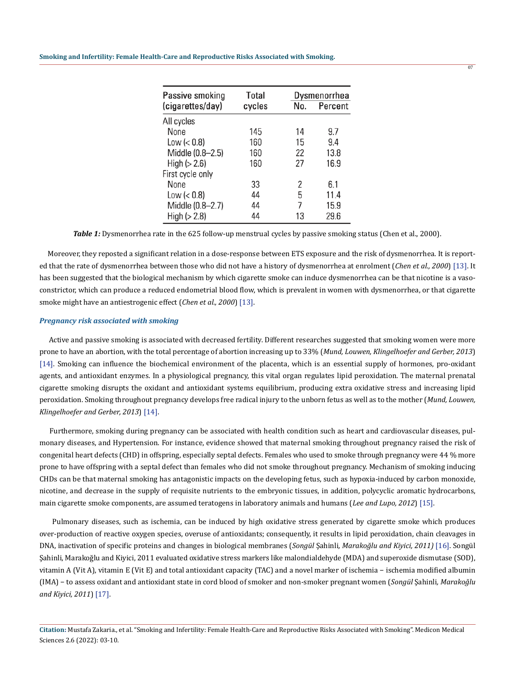#### **Smoking and Infertility: Female Health-Care and Reproductive Risks Associated with Smoking.**

| Passive smoking<br>(cigarettes/day) | <b>Total</b><br>cycles | No. | Dysmenorrhea<br>Percent |
|-------------------------------------|------------------------|-----|-------------------------|
| All cycles                          |                        |     |                         |
| None                                | 145                    | 14  | 9.7                     |
| Low $(0.8)$                         | 160                    | 15  | 9.4                     |
| Middle (0.8-2.5)                    | 160                    | 22  | 13.8                    |
| High (> 2.6)                        | 160                    | 27  | 16.9                    |
| First cycle only                    |                        |     |                         |
| None                                | 33                     | 2   | 6.1                     |
| Low $(0.8)$                         | 44                     | 5   | 11.4                    |
| Middle (0.8-2.7)                    | 44                     | 7   | 15.9                    |
| High ( > 2.8)                       | 44                     | 13  | 29.6                    |

07

*Table 1:* Dysmenorrhea rate in the 625 follow-up menstrual cycles by passive smoking status (Chen et al., 2000).

 Moreover, they reposted a significant relation in a dose-response between ETS exposure and the risk of dysmenorrhea. It is reported that the rate of dysmenorrhea between those who did not have a history of dysmenorrhea at enrolment (*Chen et al., 2000*) [13]. It has been suggested that the biological mechanism by which cigarette smoke can induce dysmenorrhea can be that nicotine is a vasoconstrictor, which can produce a reduced endometrial blood flow, which is prevalent in women with dysmenorrhea, or that cigarette smoke might have an antiestrogenic effect (*Chen et al., 2000*) [13].

#### *Pregnancy risk associated with smoking*

 Active and passive smoking is associated with decreased fertility. Different researches suggested that smoking women were more prone to have an abortion, with the total percentage of abortion increasing up to 33% (*Mund, Louwen, Klingelhoefer and Gerber, 2013*) [14]. Smoking can influence the biochemical environment of the placenta, which is an essential supply of hormones, pro-oxidant agents, and antioxidant enzymes. In a physiological pregnancy, this vital organ regulates lipid peroxidation. The maternal prenatal cigarette smoking disrupts the oxidant and antioxidant systems equilibrium, producing extra oxidative stress and increasing lipid peroxidation. Smoking throughout pregnancy develops free radical injury to the unborn fetus as well as to the mother (*Mund, Louwen, Klingelhoefer and Gerber, 2013*) [14].

 Furthermore, smoking during pregnancy can be associated with health condition such as heart and cardiovascular diseases, pulmonary diseases, and Hypertension. For instance, evidence showed that maternal smoking throughout pregnancy raised the risk of congenital heart defects (CHD) in offspring, especially septal defects. Females who used to smoke through pregnancy were 44 % more prone to have offspring with a septal defect than females who did not smoke throughout pregnancy. Mechanism of smoking inducing CHDs can be that maternal smoking has antagonistic impacts on the developing fetus, such as hypoxia-induced by carbon monoxide, nicotine, and decrease in the supply of requisite nutrients to the embryonic tissues, in addition, polycyclic aromatic hydrocarbons, main cigarette smoke components, are assumed teratogens in laboratory animals and humans (*Lee and Lupo, 2012*) [15].

 Pulmonary diseases, such as ischemia, can be induced by high oxidative stress generated by cigarette smoke which produces over-production of reactive oxygen species, overuse of antioxidants; consequently, it results in lipid peroxidation, chain cleavages in DNA, inactivation of specific proteins and changes in biological membranes (*Songül* Şahinli*, Marakoğlu and Kiyici, 2011)* [16]. Songül Şahinli, Marakoğlu and Kiyici, 2011 evaluated oxidative stress markers like malondialdehyde (MDA) and superoxide dismutase (SOD), vitamin A (Vit A), vitamin E (Vit E) and total antioxidant capacity (TAC) and a novel marker of ischemia − ischemia modified albumin (IMA) − to assess oxidant and antioxidant state in cord blood of smoker and non-smoker pregnant women (*Songül* Şahinli*, Marakoğlu and Kiyici, 2011*) [17].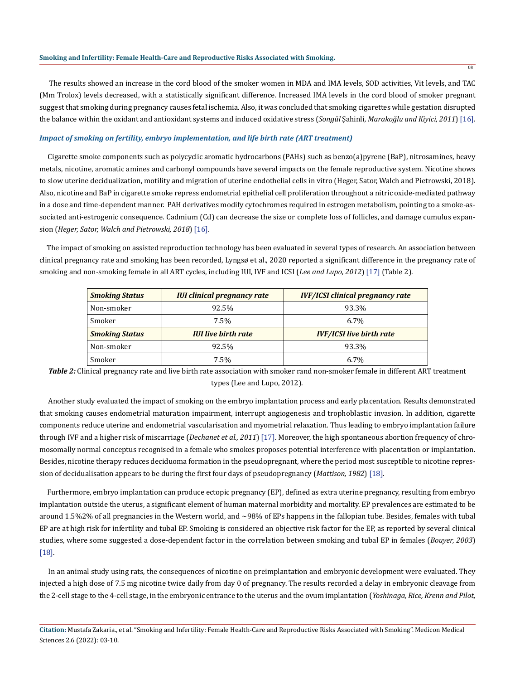#### **Smoking and Infertility: Female Health-Care and Reproductive Risks Associated with Smoking.**

 The results showed an increase in the cord blood of the smoker women in MDA and IMA levels, SOD activities, Vit levels, and TAC (Mm Trolox) levels decreased, with a statistically significant difference. Increased IMA levels in the cord blood of smoker pregnant suggest that smoking during pregnancy causes fetal ischemia. Also, it was concluded that smoking cigarettes while gestation disrupted the balance within the oxidant and antioxidant systems and induced oxidative stress (*Songül* Şahinli*, Marakoğlu and Kiyici, 2011*) [16].

08

### *Impact of smoking on fertility, embryo implementation, and life birth rate (ART treatment)*

 Cigarette smoke components such as polycyclic aromatic hydrocarbons (PAHs) such as benzo(a)pyrene (BaP), nitrosamines, heavy metals, nicotine, aromatic amines and carbonyl compounds have several impacts on the female reproductive system. Nicotine shows to slow uterine decidualization, motility and migration of uterine endothelial cells in vitro (Heger, Sator, Walch and Pietrowski, 2018). Also, nicotine and BaP in cigarette smoke repress endometrial epithelial cell proliferation throughout a nitric oxide-mediated pathway in a dose and time-dependent manner. PAH derivatives modify cytochromes required in estrogen metabolism, pointing to a smoke-associated anti-estrogenic consequence. Cadmium (Cd) can decrease the size or complete loss of follicles, and damage cumulus expansion (*Heger, Sator, Walch and Pietrowski, 2018*) [16].

 The impact of smoking on assisted reproduction technology has been evaluated in several types of research. An association between clinical pregnancy rate and smoking has been recorded, Lyngsø et al., 2020 reported a significant difference in the pregnancy rate of smoking and non-smoking female in all ART cycles, including IUI, IVF and ICSI (*Lee and Lupo, 2012*) [17] (Table 2).

| <b>Smoking Status</b> | <b>IUI clinical pregnancy rate</b> | <b>IVF/ICSI clinical pregnancy rate</b> |
|-----------------------|------------------------------------|-----------------------------------------|
| Non-smoker            | 92.5%                              | 93.3%                                   |
| Smoker                | 7.5%                               | $6.7\%$                                 |
| <b>Smoking Status</b> | <b>IUI live birth rate</b>         | <b>IVF/ICSI live birth rate</b>         |
| Non-smoker            | 92.5%                              | 93.3%                                   |
| Smoker                | 7.5%                               | $6.7\%$                                 |

*Table 2:* Clinical pregnancy rate and live birth rate association with smoker rand non-smoker female in different ART treatment types (Lee and Lupo, 2012).

 Another study evaluated the impact of smoking on the embryo implantation process and early placentation. Results demonstrated that smoking causes endometrial maturation impairment, interrupt angiogenesis and trophoblastic invasion. In addition, cigarette components reduce uterine and endometrial vascularisation and myometrial relaxation. Thus leading to embryo implantation failure through IVF and a higher risk of miscarriage (*Dechanet et al., 2011*) [17]. Moreover, the high spontaneous abortion frequency of chromosomally normal conceptus recognised in a female who smokes proposes potential interference with placentation or implantation. Besides, nicotine therapy reduces deciduoma formation in the pseudopregnant, where the period most susceptible to nicotine repression of decidualisation appears to be during the first four days of pseudopregnancy (*Mattison, 1982*) [18].

 Furthermore, embryo implantation can produce ectopic pregnancy (EP), defined as extra uterine pregnancy, resulting from embryo implantation outside the uterus, a significant element of human maternal morbidity and mortality. EP prevalences are estimated to be around 1.5%2% of all pregnancies in the Western world, and ∼98% of EPs happens in the fallopian tube. Besides, females with tubal EP are at high risk for infertility and tubal EP. Smoking is considered an objective risk factor for the EP, as reported by several clinical studies, where some suggested a dose-dependent factor in the correlation between smoking and tubal EP in females (*Bouyer, 2003*) [18].

 In an animal study using rats, the consequences of nicotine on preimplantation and embryonic development were evaluated. They injected a high dose of 7.5 mg nicotine twice daily from day 0 of pregnancy. The results recorded a delay in embryonic cleavage from the 2-cell stage to the 4-cell stage, in the embryonic entrance to the uterus and the ovum implantation (*Yoshinaga, Rice, Krenn and Pilot,*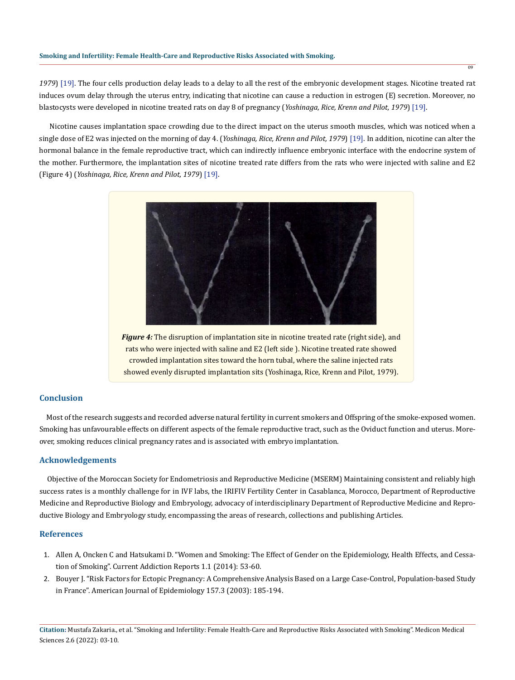*1979*) [19]. The four cells production delay leads to a delay to all the rest of the embryonic development stages. Nicotine treated rat induces ovum delay through the uterus entry, indicating that nicotine can cause a reduction in estrogen (E) secretion. Moreover, no blastocysts were developed in nicotine treated rats on day 8 of pregnancy (*Yoshinaga, Rice, Krenn and Pilot, 1979*) [19].

 Nicotine causes implantation space crowding due to the direct impact on the uterus smooth muscles, which was noticed when a single dose of E2 was injected on the morning of day 4. (*Yoshinaga, Rice, Krenn and Pilot, 1979*) [19]. In addition, nicotine can alter the hormonal balance in the female reproductive tract, which can indirectly influence embryonic interface with the endocrine system of the mother. Furthermore, the implantation sites of nicotine treated rate differs from the rats who were injected with saline and E2 (Figure 4) (*Yoshinaga, Rice, Krenn and Pilot, 1979*) [19].



*Figure 4:* The disruption of implantation site in nicotine treated rate (right side), and rats who were injected with saline and E2 (left side ). Nicotine treated rate showed crowded implantation sites toward the horn tubal, where the saline injected rats showed evenly disrupted implantation sits (Yoshinaga, Rice, Krenn and Pilot, 1979).

# **Conclusion**

 Most of the research suggests and recorded adverse natural fertility in current smokers and Offspring of the smoke-exposed women. Smoking has unfavourable effects on different aspects of the female reproductive tract, such as the Oviduct function and uterus. Moreover, smoking reduces clinical pregnancy rates and is associated with embryo implantation.

# **Acknowledgements**

 Objective of the Moroccan Society for Endometriosis and Reproductive Medicine (MSERM) Maintaining consistent and reliably high success rates is a monthly challenge for in IVF labs, the IRIFIV Fertility Center in Casablanca, Morocco, Department of Reproductive Medicine and Reproductive Biology and Embryology, advocacy of interdisciplinary Department of Reproductive Medicine and Reproductive Biology and Embryology study, encompassing the areas of research, collections and publishing Articles.

## **References**

- 1. [Allen A, Oncken C and Hatsukami D. "Women and Smoking: The Effect of Gender on the Epidemiology, Health Effects, and Cessa](https://pubmed.ncbi.nlm.nih.gov/27213132/)[tion of Smoking". Current Addiction Reports 1.1 \(2014\): 53-60.](https://pubmed.ncbi.nlm.nih.gov/27213132/)
- 2. [Bouyer J. "Risk Factors for Ectopic Pregnancy: A Comprehensive Analysis Based on a Large Case-Control, Population-based Study](https://pubmed.ncbi.nlm.nih.gov/12543617/) [in France". American Journal of Epidemiology 157.3 \(2003\): 185-194.](https://pubmed.ncbi.nlm.nih.gov/12543617/)

**Citation:** Mustafa Zakaria., et al. "Smoking and Infertility: Female Health-Care and Reproductive Risks Associated with Smoking". Medicon Medical Sciences 2.6 (2022): 03-10.

09